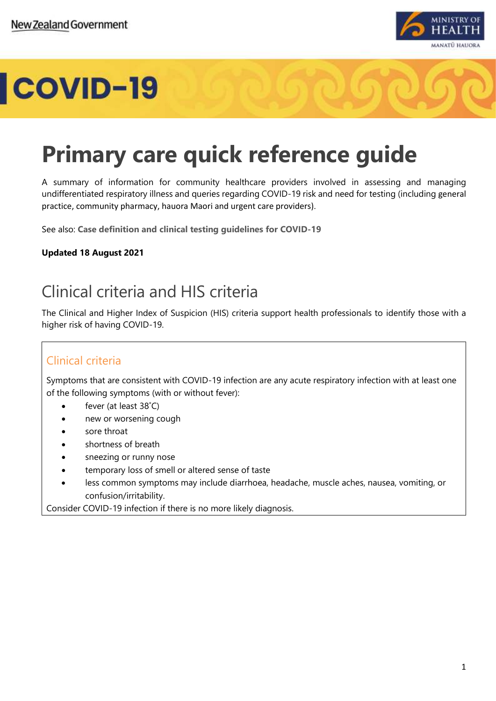

# COVID-19

# **Primary care quick reference guide**

A summary of information for community healthcare providers involved in assessing and managing undifferentiated respiratory illness and queries regarding COVID-19 risk and need for testing (including general practice, community pharmacy, hauora Maori and urgent care providers).

See also: **[Case definition and clinical testing guidelines for COVID-19](https://www.health.govt.nz/our-work/diseases-and-conditions/covid-19-novel-coronavirus/covid-19-information-health-professionals/case-definition-and-clinical-testing-guidelines-covid-19)**

#### **Updated 18 August 2021**

# Clinical criteria and HIS criteria

The Clinical and Higher Index of Suspicion (HIS) criteria support health professionals to identify those with a higher risk of having COVID-19.

### Clinical criteria

Symptoms that are consistent with COVID-19 infection are any acute respiratory infection with at least one of the following symptoms (with or without fever):

- fever (at least 38°C)
- new or worsening cough
- sore throat
- shortness of breath
- sneezing or runny nose
- temporary loss of smell or altered sense of taste
- less common symptoms may include diarrhoea, headache, muscle aches, nausea, vomiting, or confusion/irritability.

Consider COVID-19 infection if there is no more likely diagnosis.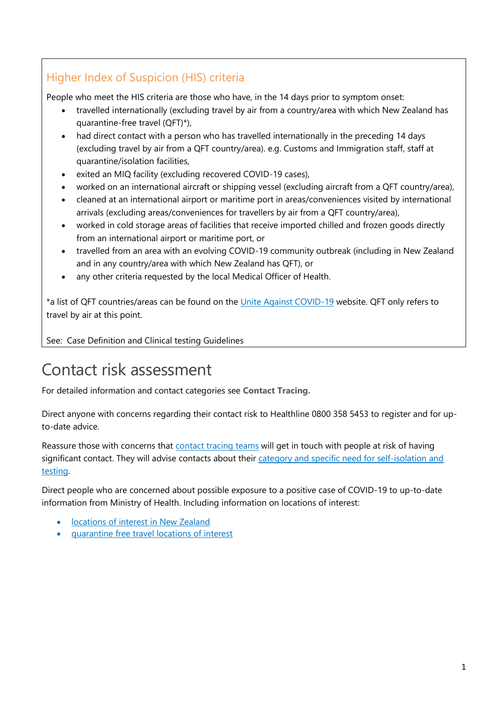## Higher Index of Suspicion (HIS) criteria

People who meet the HIS criteria are those who have, in the 14 days prior to symptom onset: 

- travelled internationally (excluding travel by air from a country/area with which New Zealand has quarantine-free travel (QFT)\*),
- had direct contact with a person who has travelled internationally in the preceding 14 days (excluding travel by air from a QFT country/area). e.g. Customs and Immigration staff, staff at quarantine/isolation facilities,
- exited an MIQ facility (excluding recovered COVID-19 cases),
- worked on an international aircraft or shipping vessel (excluding aircraft from a QFT country/area),
- cleaned at an international airport or maritime port in areas/conveniences visited by international arrivals (excluding areas/conveniences for travellers by air from a QFT country/area),
- worked in cold storage areas of facilities that receive imported chilled and frozen goods directly from an international airport or maritime port, or
- travelled from an area with an evolving COVID-19 community outbreak (including in New Zealand and in any country/area with which New Zealand has QFT), or
- any other criteria requested by the local Medical Officer of Health.

\*a list of QFT countries/areas can be found on the [Unite Against COVID-19](https://covid19.govt.nz/travel-and-the-border/quarantine-free-travel/) website. QFT only refers to travel by air at this point.

See: Case Definition and Clinical testing Guidelines

# Contact risk assessment

For detailed information and contact categories see **[Contact Tracing.](https://www.health.govt.nz/our-work/diseases-and-conditions/covid-19-novel-coronavirus/covid-19-health-advice-public/contact-tracing-covid-19)**

Direct anyone with concerns regarding their contact risk to Healthline 0800 358 5453 to register and for upto-date advice.

Reassure those with concerns that [contact tracing teams](https://www.health.govt.nz/our-work/diseases-and-conditions/covid-19-novel-coronavirus/covid-19-health-advice-public/contact-tracing-covid-19#what) will get in touch with people at risk of having significant contact. They will advise contacts about their category and specific need for self-isolation and [testing.](https://www.health.govt.nz/our-work/diseases-and-conditions/covid-19-novel-coronavirus/covid-19-health-advice-public/contact-tracing-covid-19#typesofcontacts)

Direct people who are concerned about possible exposure to a positive case of COVID-19 to up-to-date information from Ministry of Health. Including information on locations of interest:

- [locations of interest in New Zealand](https://www.health.govt.nz/our-work/diseases-and-conditions/covid-19-novel-coronavirus/covid-19-health-advice-public/contact-tracing-covid-19/covid-19-contact-tracing-locations-interest#current)
- [quarantine free travel locations of interest](https://www.health.govt.nz/our-work/diseases-and-conditions/covid-19-novel-coronavirus/covid-19-health-advice-public/contact-tracing-covid-19/quarantine-free-travel-contact-tracing-locations-interest)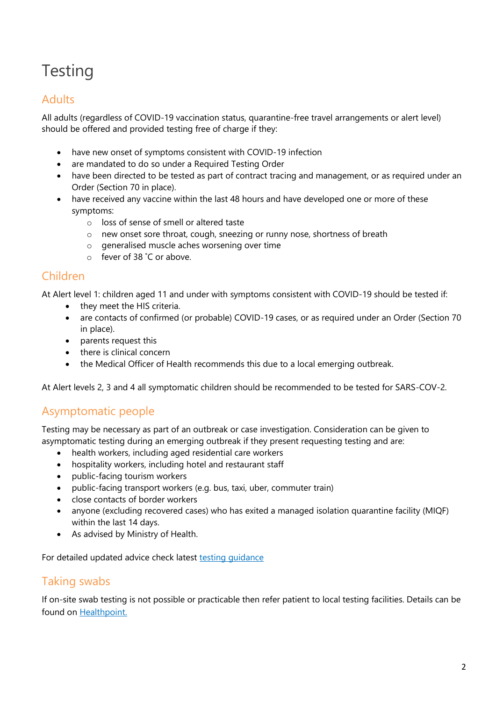# **Testing**

### Adults

All adults (regardless of COVID-19 vaccination status, quarantine-free travel arrangements or alert level) should be offered and provided testing free of charge if they:

- have new onset of symptoms consistent with COVID-19 infection
- are mandated to do so under a Required Testing Order
- have been directed to be tested as part of contract tracing and management, or as required under an Order (Section 70 in place).
- have received any vaccine within the last 48 hours and have developed one or more of these symptoms:
	- o loss of sense of smell or altered taste
	- o new onset sore throat, cough, sneezing or runny nose, shortness of breath
	- o generalised muscle aches worsening over time
	- o fever of 38 ˚C or above.

### Children

At Alert level 1: children aged 11 and under with symptoms consistent with COVID-19 should be tested if:

- they meet the HIS criteria.
- are contacts of confirmed (or probable) COVID-19 cases, or as required under an Order (Section 70 in place).
- parents request this
- there is clinical concern
- the Medical Officer of Health recommends this due to a local emerging outbreak.

At Alert levels 2, 3 and 4 all symptomatic children should be recommended to be tested for SARS-COV-2.

### Asymptomatic people

Testing may be necessary as part of an outbreak or case investigation. Consideration can be given to asymptomatic testing during an emerging outbreak if they present requesting testing and are:

- health workers, including aged residential care workers
- hospitality workers, including hotel and restaurant staff
- public-facing tourism workers
- public-facing transport workers (e.g. bus, taxi, uber, commuter train)
- close contacts of border workers
- anyone (excluding recovered cases) who has exited a managed isolation quarantine facility (MIQF) within the last 14 days.
- As advised by Ministry of Health.

For detailed updated advice check latest testing quidance

### Taking swabs

If on-site swab testing is not possible or practicable then refer patient to local testing facilities. Details can be found on [Healthpoint.](https://www.healthpoint.co.nz/covid-19/)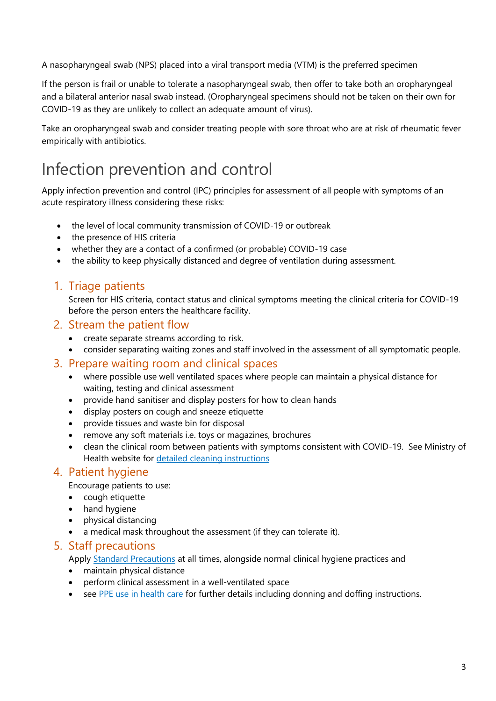A nasopharyngeal swab (NPS) placed into a viral transport media (VTM) is the preferred specimen

If the person is frail or unable to tolerate a nasopharyngeal swab, then offer to take both an oropharyngeal and a bilateral anterior nasal swab instead. (Oropharyngeal specimens should not be taken on their own for COVID-19 as they are unlikely to collect an adequate amount of virus).

Take an oropharyngeal swab and consider treating people with sore throat who are at risk of rheumatic fever empirically with antibiotics.

# Infection prevention and control

Apply infection prevention and control (IPC) principles for assessment of all people with symptoms of an acute respiratory illness considering these risks:

- the level of local community transmission of COVID-19 or outbreak
- the presence of HIS criteria
- whether they are a contact of a confirmed (or probable) COVID-19 case
- the ability to keep physically distanced and degree of ventilation during assessment.

#### 1. Triage patients

Screen for HIS criteria, contact status and clinical symptoms meeting the clinical criteria for COVID-19 before the person enters the healthcare facility.

#### 2. Stream the patient flow

- create separate streams according to risk.
- consider separating waiting zones and staff involved in the assessment of all symptomatic people.

#### 3. Prepare waiting room and clinical spaces

- where possible use well ventilated spaces where people can maintain a physical distance for waiting, testing and clinical assessment
- provide hand sanitiser and display posters for how to clean hands
- display posters on cough and sneeze etiquette
- provide tissues and waste bin for disposal
- remove any soft materials i.e. toys or magazines, brochures
- clean the clinical room between patients with symptoms consistent with COVID-19. See Ministry of Health website for [detailed cleaning instructions](https://www.health.govt.nz/our-work/diseases-and-conditions/covid-19-novel-coronavirus/covid-19-information-specific-audiences/covid-19-general-cleaning-and-disinfection-advice/cleaning-following-confirmed-or-probable-case-covid-19)

#### 4. Patient hygiene

Encourage patients to use:

- cough etiquette
- hand hygiene
- physical distancing
- a medical mask throughout the assessment (if they can tolerate it).

#### 5. Staff precautions

Apply [Standard Precautions](https://www.health.govt.nz/our-work/diseases-and-conditions/covid-19-novel-coronavirus/covid-19-information-specific-audiences/covid-19-personal-protective-equipment-workers/frequently-asked-questions-about-ppe-and-covid-19#standard) at all times, alongside normal clinical hygiene practices and

- maintain physical distance
- perform clinical assessment in a well-ventilated space
- see [PPE use in health care](https://www.health.govt.nz/our-work/diseases-and-conditions/covid-19-novel-coronavirus/covid-19-information-specific-audiences/covid-19-personal-protective-equipment-central-supply/personal-protective-equipment-use-health-and-disability-care-settings) for further details including donning and doffing instructions.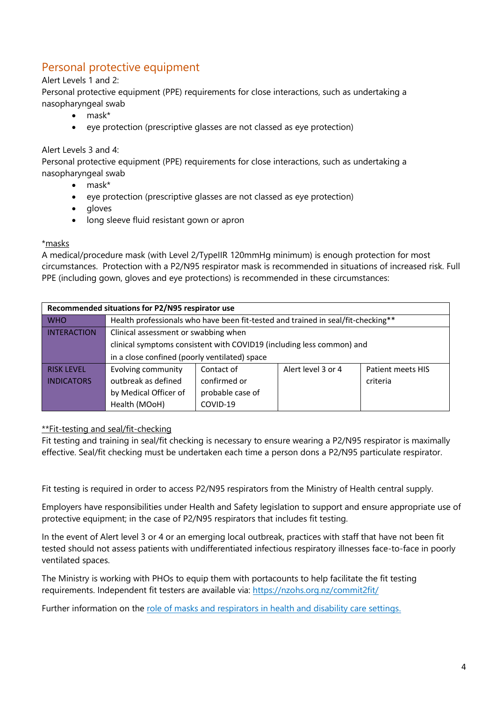## Personal protective equipment

#### Alert Levels 1 and 2:

Personal protective equipment (PPE) requirements for close interactions, such as undertaking a nasopharyngeal swab

- mask\*
- eye protection (prescriptive glasses are not classed as eye protection)

#### Alert Levels 3 and 4:

Personal protective equipment (PPE) requirements for close interactions, such as undertaking a nasopharyngeal swab

- mask\*
- eye protection (prescriptive glasses are not classed as eye protection)
- gloves
- long sleeve fluid resistant gown or apron

#### \*masks

A medical/procedure mask (with Level 2/TypeIIR 120mmHg minimum) is enough protection for most circumstances. Protection with a P2/N95 respirator mask is recommended in situations of increased risk. Full PPE (including gown, gloves and eye protections) is recommended in these circumstances:

| Recommended situations for P2/N95 respirator use |                                                                                  |                  |                    |                   |
|--------------------------------------------------|----------------------------------------------------------------------------------|------------------|--------------------|-------------------|
| <b>WHO</b>                                       | Health professionals who have been fit-tested and trained in seal/fit-checking** |                  |                    |                   |
| <b>INTERACTION</b>                               | Clinical assessment or swabbing when                                             |                  |                    |                   |
|                                                  | clinical symptoms consistent with COVID19 (including less common) and            |                  |                    |                   |
|                                                  | in a close confined (poorly ventilated) space                                    |                  |                    |                   |
| <b>RISK LEVEL</b>                                | <b>Evolving community</b>                                                        | Contact of       | Alert level 3 or 4 | Patient meets HIS |
| <b>INDICATORS</b>                                | outbreak as defined                                                              | confirmed or     |                    | criteria          |
|                                                  | by Medical Officer of                                                            | probable case of |                    |                   |
|                                                  | Health (MOoH)                                                                    | COVID-19         |                    |                   |

#### \*\*Fit-testing and seal/fit-checking

Fit testing and training in seal/fit checking is necessary to ensure wearing a P2/N95 respirator is maximally effective. Seal/fit checking must be undertaken each time a person dons a P2/N95 particulate respirator.

Fit testing is required in order to access P2/N95 respirators from the Ministry of Health central supply.

Employers have responsibilities under Health and Safety legislation to support and ensure appropriate use of protective equipment; in the case of P2/N95 respirators that includes fit testing.

In the event of Alert level 3 or 4 or an emerging local outbreak, practices with staff that have not been fit tested should not assess patients with undifferentiated infectious respiratory illnesses face-to-face in poorly ventilated spaces.

The Ministry is working with PHOs to equip them with portacounts to help facilitate the fit testing requirements. Independent fit testers are available via: [https://nzohs.org.nz/commit2fit/](https://scanmail.trustwave.com/?c=15517&d=gtip4KrghXMVr1Uko27K7R56-1b9vNYL4A8Z6dLqWw&u=https%3a%2f%2fnzohs%2eorg%2enz%2fcommit2fit%2f)

Further information on the [role of masks and respirators in health and disability care settings.](https://www.health.govt.nz/system/files/documents/pages/covid19-role-of-face-masks-in-health-17-june-2020.pdf)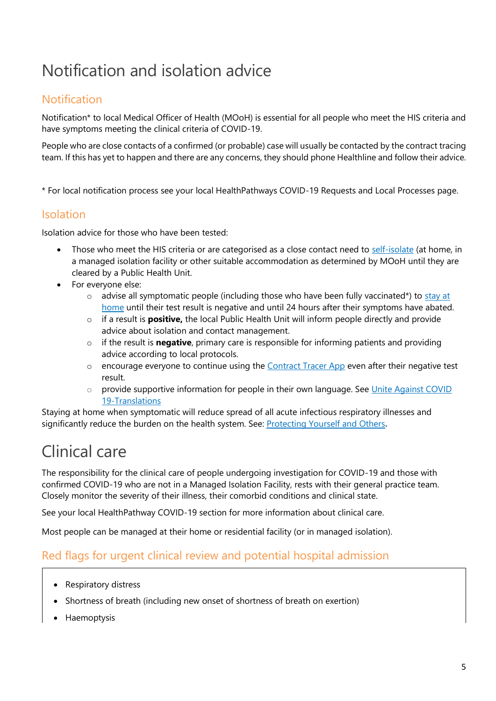# Notification and isolation advice

## Notification

Notification\* to local Medical Officer of Health (MOoH) is essential for all people who meet the HIS criteria and have symptoms meeting the clinical criteria of COVID-19.

People who are close contacts of a confirmed (or probable) case will usually be contacted by the contract tracing team. If this has yet to happen and there are any concerns, they should phone Healthline and follow their advice.

\* For local notification process see your local HealthPathways COVID-19 Requests and Local Processes page.

#### Isolation

Isolation advice for those who have been tested:

- Those who meet the HIS criteria or are categorised as a close contact need to [self-isolate](https://www.health.govt.nz/our-work/diseases-and-conditions/covid-19-novel-coronavirus/covid-19-health-advice-public/covid-19-self-isolation-managed-isolation-quarantine) (at home, in a managed isolation facility or other suitable accommodation as determined by MOoH until they are cleared by a Public Health Unit.
- For everyone else:
	- $\circ$  advise all symptomatic people (including those who have been fully vaccinated\*) to stay at [home](https://www.health.govt.nz/our-work/diseases-and-conditions/covid-19-novel-coronavirus/covid-19-health-advice-public/covid-19-staying-home) until their test result is negative and until 24 hours after their symptoms have abated.
	- o if a result is **positive,** the local Public Health Unit will inform people directly and provide advice about isolation and contact management.
	- o if the result is **negative**, primary care is responsible for informing patients and providing advice according to local protocols.
	- o encourage everyone to continue using the [Contract Tracer App](https://www.health.govt.nz/our-work/diseases-and-conditions/covid-19-novel-coronavirus/covid-19-resources-and-tools/nz-covid-tracer-app) even after their negative test result.
	- o provide supportive information for people in their own language. See [Unite Against COVID](https://covid19.govt.nz/iwi-and-communities/translations/)  [19-Translations](https://covid19.govt.nz/iwi-and-communities/translations/)

Staying at home when symptomatic will reduce spread of all acute infectious respiratory illnesses and significantly reduce the burden on the health system. See: [Protecting Yourself and Others](https://www.health.govt.nz/our-work/diseases-and-conditions/covid-19-novel-coronavirus/covid-19-health-advice-public/protecting-yourself-and-others-covid-19)**.**

# Clinical care

The responsibility for the clinical care of people undergoing investigation for COVID-19 and those with confirmed COVID-19 who are not in a Managed Isolation Facility, rests with their general practice team. Closely monitor the severity of their illness, their comorbid conditions and clinical state.

See your local HealthPathway COVID-19 section for more information about clinical care.

Most people can be managed at their home or residential facility (or in managed isolation).

### Red flags for urgent clinical review and potential hospital admission

- Respiratory distress
- Shortness of breath (including new onset of shortness of breath on exertion)
- **Haemoptysis**